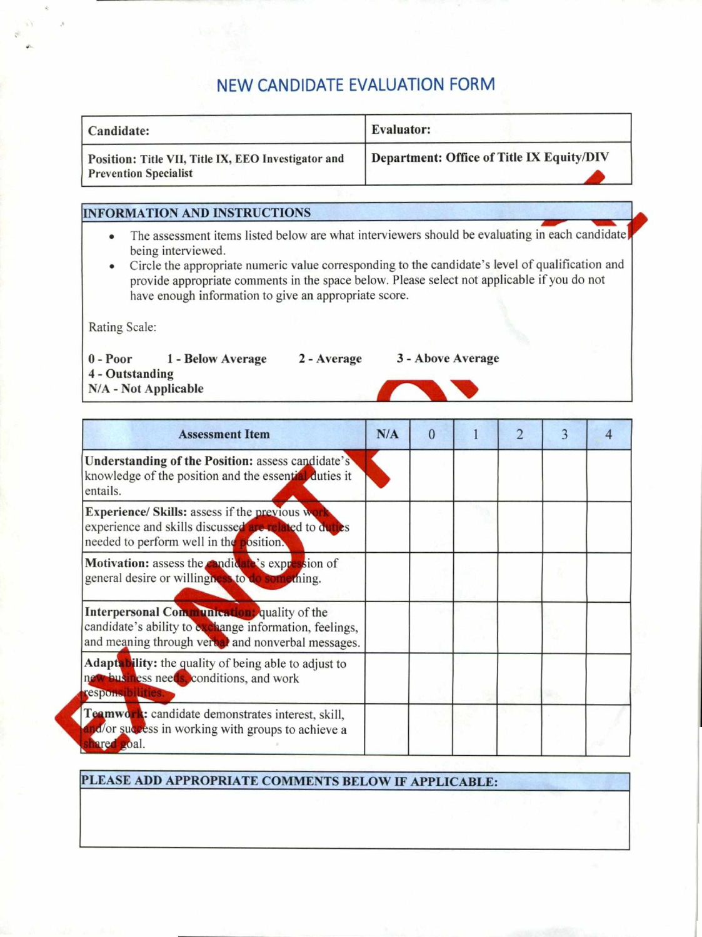## **NEW CANDIDATE EVALUATION FORM**

| Candidate:                                                                          | <b>Evaluator:</b>                         |
|-------------------------------------------------------------------------------------|-------------------------------------------|
| Position: Title VII, Title IX, EEO Investigator and<br><b>Prevention Specialist</b> | Department: Office of Title IX Equity/DIV |

## **INFORMATION AND INSTRUCTIONS**

- The assessment items listed below are what interviewers should be evaluating in each candidate being interviewed.
- Circle the appropriate numeric value corresponding to the candidate's level of qualification and provide appropriate comments in the space below. Please select not applicable if you do not have enough information to give an appropriate score.

Rating Scale:

**0 - Poor I - Below Average 4 - Outstanding N/A - Not Applicable** 

## **2 - Average 3 - Above Average**

**Assessment Item N/A 0 1 2 3 4 Understanding of the Position: assess candidate's** knowledge of the position and the essential duties it entails. **Experience/ Skills:** assess if the previous we experience and skills discussed are related to duties needed to perform well in the position. **Motivation:** assess the **candidate's** expression of general desire or willingness to do something. general desire or willingness to do. **Interpersonal Communication** quality of the candidate's ability to exchange information, feelings, and meaning through verbal and nonverbal messages. Adaptability: the quality of being able to adjust to new business needs, conditions, and work **espons b lin** Teamwork: candidate demonstrates interest, skill, na/or success in working with groups to achieve a ared goal.

**!PLEASE ADD APPROPRIATE COMMENTS BELOW IF APPLICABLE:**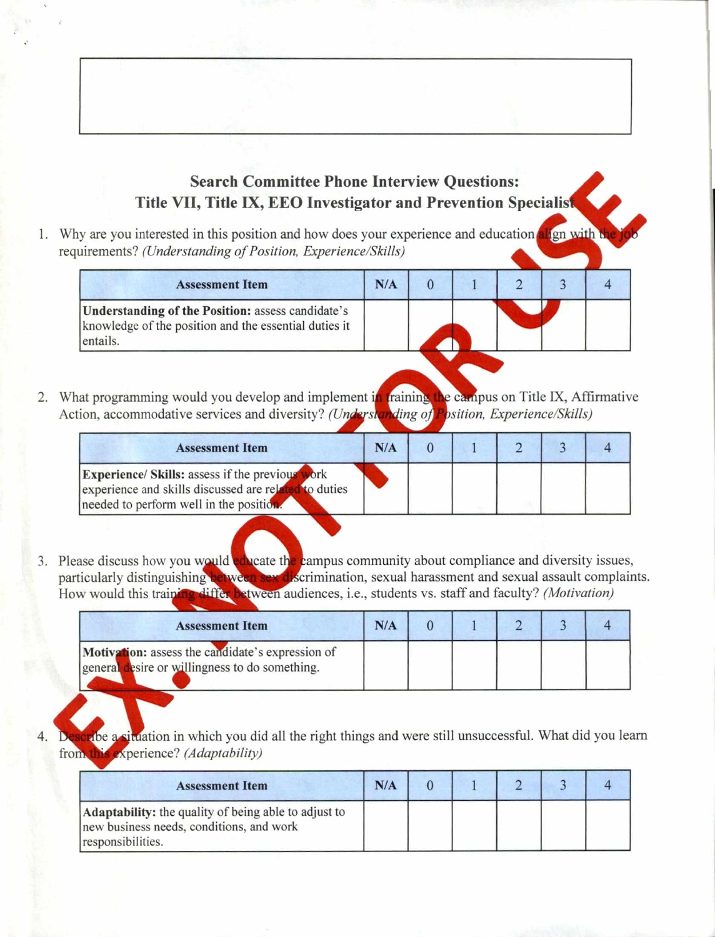## **Search Committee Phone Interview Questions: Title VII, Title IX, EEO Investigator and Prevention Specialis**

1. Why are you interested in this position and how does your experience and education align with t requirements? *(Understanding of Position, Experience/Skills)* 

| <b>Assessment Item</b>                                                                                                 | N/A |  |  |  |
|------------------------------------------------------------------------------------------------------------------------|-----|--|--|--|
| Understanding of the Position: assess candidate's<br>knowledge of the position and the essential duties it<br>entails. |     |  |  |  |

2. What programming would you develop and implement in training the campus on Title IX, Affirmative Action, accommodative services and diversity? *(Understanding of Position, Experience/Skills)* 

| <b>Assessment Item</b>                                                                                                                                                  | N/A |  |  |  |
|-------------------------------------------------------------------------------------------------------------------------------------------------------------------------|-----|--|--|--|
| <b>Experience/ Skills:</b> assess if the previous<br><b>work</b><br>experience and skills discussed are related<br>to duties<br>needed to perform well in the position. |     |  |  |  |

3. Please discuss how you would educate the campus community about compliance and diversity issues, particularly distinguishing between sex discrimination, sexual harassment and sexual assault complaints. How would this training differ between audiences, i.e., students vs. staff and faculty? *(Motivation)* 

| <b>Assessment Item</b>                                                                             | N/A |  |  |  |
|----------------------------------------------------------------------------------------------------|-----|--|--|--|
| Motivation: assess the candidate's expression of<br>general desire or willingness to do something. |     |  |  |  |

4. Describe a situation in which you did all the right things and were still unsuccessful. What did you learn from this experience? *(Adaptability)* 

| <b>Assessment Item</b>                                                                                                | N/A |  |  |  |
|-----------------------------------------------------------------------------------------------------------------------|-----|--|--|--|
| Adaptability: the quality of being able to adjust to<br>new business needs, conditions, and work<br>responsibilities. |     |  |  |  |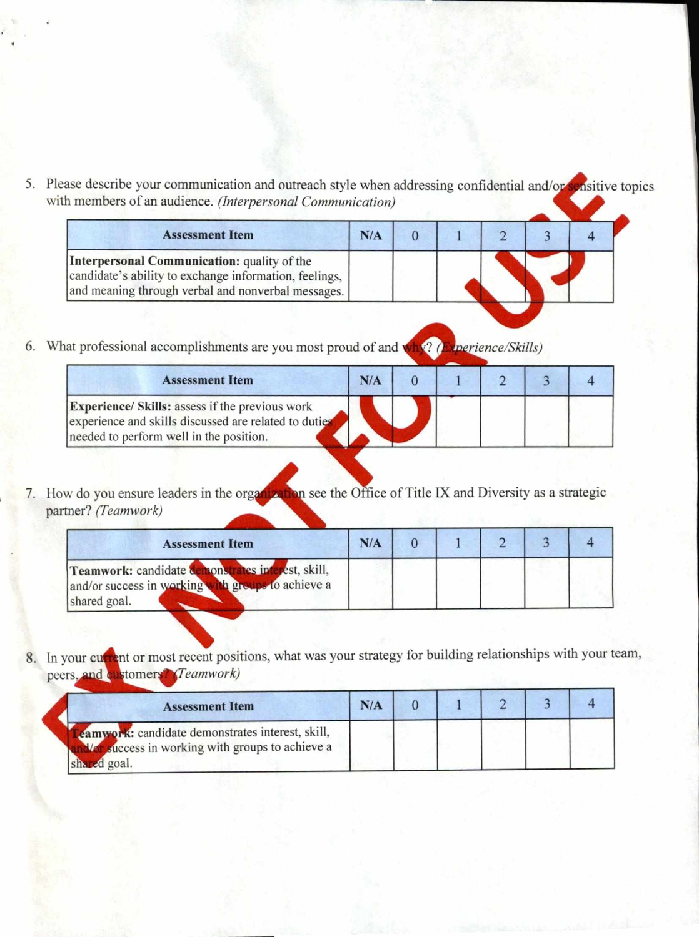5. Please describe your communication and outreach style when addressing confidential and/or sensitive topics with members of an audience. *(Interpersonal Communication)* 

| <b>Assessment Item</b>                                                                                                                                      | N/A |  |  |  |
|-------------------------------------------------------------------------------------------------------------------------------------------------------------|-----|--|--|--|
| Interpersonal Communication: quality of the<br>candidate's ability to exchange information, feelings,<br>and meaning through verbal and nonverbal messages. |     |  |  |  |

6. What professional accomplishments are you most proud of and why? (Experience/Skills)

| candidate s ability to exchange information, feelings,<br>and meaning through verbal and nonverbal messages.                                               |     |                                 |                          |  |
|------------------------------------------------------------------------------------------------------------------------------------------------------------|-----|---------------------------------|--------------------------|--|
| at professional accomplishments are you most proud of and w<br><b>Assessment Item</b>                                                                      | N/A | $\sqrt{2}$ $\theta$<br>$\Omega$ | <i>perience/Skills</i> ) |  |
| <b>Experience/ Skills:</b> assess if the previous work<br>experience and skills discussed are related to duties<br>needed to perform well in the position. |     |                                 |                          |  |

7. How do you ensure leaders in the organization see the Office of Title IX and Diversity as a strategic partner? *(Teamwork)* 

| <b>Assessment Item</b>                                                                                                  | N/A |  |  |  |
|-------------------------------------------------------------------------------------------------------------------------|-----|--|--|--|
| Teamwork: candidate demonstrates interest, skill,<br>and/or success in working with groups to achieve a<br>shared goal. |     |  |  |  |

8. In your current or most recent positions, what was your strategy for building relationships with your team,

| peers, and customers? (Teamwork)                                                                                    |     |  |  |  |
|---------------------------------------------------------------------------------------------------------------------|-----|--|--|--|
| <b>Assessment Item</b>                                                                                              | N/A |  |  |  |
| eamwork: candidate demonstrates interest, skill,<br>Vor success in working with groups to achieve a<br>shared goal. |     |  |  |  |